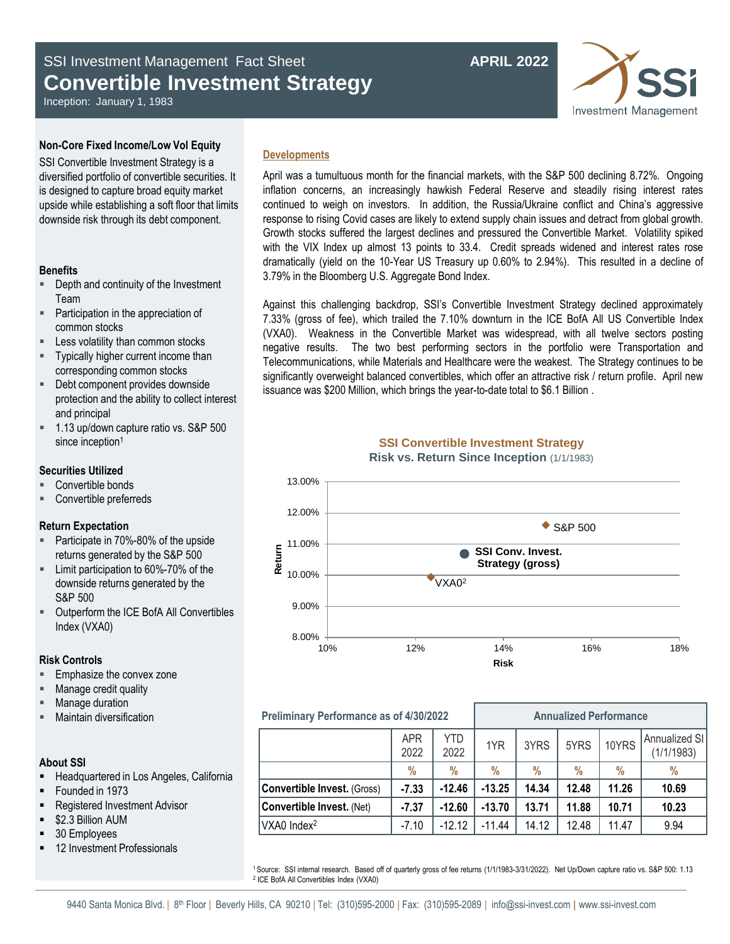# SSI Investment Management Fact Sheet **APRIL 2022 Convertible Investment Strategy**

**Investment Management** 

Inception: January 1, 1983

# **Non-Core Fixed Income/Low Vol Equity**

SSI Convertible Investment Strategy is a diversified portfolio of convertible securities. It is designed to capture broad equity market upside while establishing a soft floor that limits downside risk through its debt component.

# **Benefits**

- **•** Depth and continuity of the Investment Team
- Participation in the appreciation of common stocks
- Less volatility than common stocks
- Typically higher current income than corresponding common stocks
- Debt component provides downside protection and the ability to collect interest and principal
- 1.13 up/down capture ratio vs. S&P 500 since inception<sup>1</sup>

## **Securities Utilized**

- Convertible bonds
- Convertible preferreds

# **Return Expectation**

- **Participate in 70%-80% of the upside** returns generated by the S&P 500
- Limit participation to 60%-70% of the downside returns generated by the S&P 500
- Outperform the ICE BofA All Convertibles Index (VXA0)

# **Risk Controls**

- Emphasize the convex zone
- Manage credit quality
- Manage duration
- Maintain diversification

# **About SSI**

- Headquartered in Los Angeles, California
- Founded in 1973
- Registered Investment Advisor
- \$2.3 Billion AUM
- 30 Employees
- 12 Investment Professionals

# **Developments**

April was a tumultuous month for the financial markets, with the S&P 500 declining 8.72%. Ongoing inflation concerns, an increasingly hawkish Federal Reserve and steadily rising interest rates continued to weigh on investors. In addition, the Russia/Ukraine conflict and China's aggressive response to rising Covid cases are likely to extend supply chain issues and detract from global growth. Growth stocks suffered the largest declines and pressured the Convertible Market. Volatility spiked with the VIX Index up almost 13 points to 33.4. Credit spreads widened and interest rates rose dramatically (yield on the 10-Year US Treasury up 0.60% to 2.94%). This resulted in a decline of 3.79% in the Bloomberg U.S. Aggregate Bond Index.

Against this challenging backdrop, SSI's Convertible Investment Strategy declined approximately 7.33% (gross of fee), which trailed the 7.10% downturn in the ICE BofA All US Convertible Index (VXA0). Weakness in the Convertible Market was widespread, with all twelve sectors posting negative results. The two best performing sectors in the portfolio were Transportation and Telecommunications, while Materials and Healthcare were the weakest. The Strategy continues to be significantly overweight balanced convertibles, which offer an attractive risk / return profile. April new issuance was \$200 Million, which brings the year-to-date total to \$6.1 Billion .



# **Preliminary Performance as of 4/30/2022 Annualized Performance**

|                                    | <b>APR</b><br>2022 | YTD<br>2022 | 1YR      | 3YRS  | 5YRS  | 10YRS | Annualized SI<br>(1/1/1983) |
|------------------------------------|--------------------|-------------|----------|-------|-------|-------|-----------------------------|
|                                    | $\%$               | $\%$        | %        | $\%$  | %     | %     | $\%$                        |
| <b>Convertible Invest.</b> (Gross) | $-7.33$            | $-12.46$    | $-13.25$ | 14.34 | 12.48 | 11.26 | 10.69                       |
| Convertible Invest. (Net)          | $-7.37$            | $-12.60$    | $-13.70$ | 13.71 | 11.88 | 10.71 | 10.23                       |
| VXA0 Index <sup>2</sup>            | $-7.10$            | $-12.12$    | $-11.44$ | 14.12 | 12.48 | 11.47 | 9.94                        |

<sup>1</sup>Source: SSI internal research. Based off of quarterly gross of fee returns (1/1/1983-3/31/2022). Net Up/Down capture ratio vs. S&P 500: 1.13 2 ICE BofA All Convertibles Index (VXA0)

# **SSI Convertible Investment Strategy Risk vs. Return Since Inception** (1/1/1983)